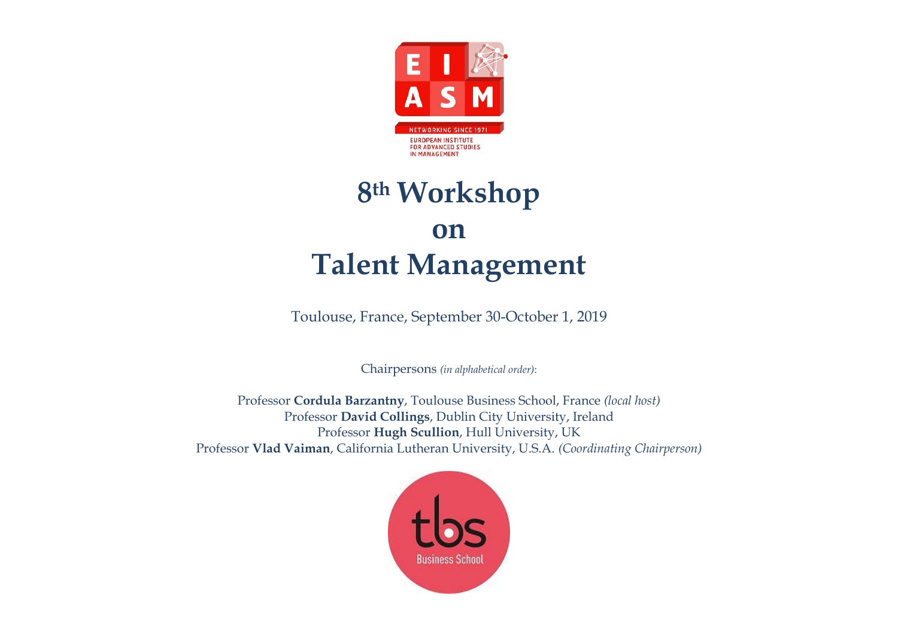

# **8th Workshop on Talent Management**

Toulouse, France, September 30-October 1, 2019

Chairpersons *(in alphabetical order)*:

Professor **Cordula Barzantny**, Toulouse Business School, France *(local host)* Professor **David Collings**, Dublin City University, Ireland Professor **Hugh Scullion**, Hull University, UK Professor **Vlad Vaiman**, California Lutheran University, U.S.A. *(Coordinating Chairperson)*

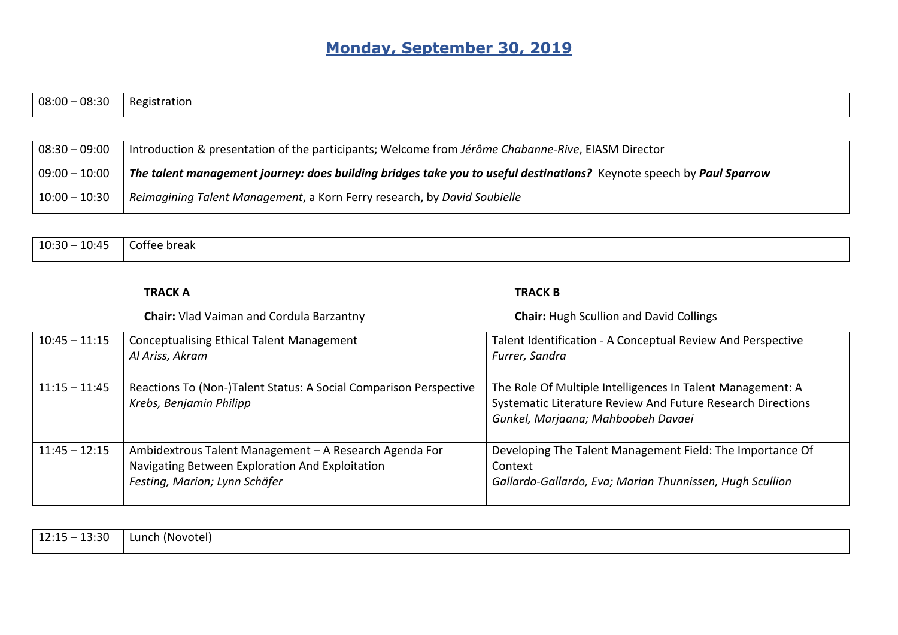## **Monday, September 30, 2019**

| $08:00 - 08:30$ | Registration |
|-----------------|--------------|
|                 |              |

| $08:30 - 09:00$ | Introduction & presentation of the participants; Welcome from Jérôme Chabanne-Rive, EIASM Director                   |
|-----------------|----------------------------------------------------------------------------------------------------------------------|
| $09:00 - 10:00$ | The talent management journey: does building bridges take you to useful destinations? Keynote speech by Paul Sparrow |
| $10:00 - 10:30$ | Reimagining Talent Management, a Korn Ferry research, by David Soubielle                                             |

| --<br>הכ <sub>י</sub> ה ו<br>- ເບ. <u>.</u><br>$\mathcal{L}$<br>⊥∪.−<br>$  \cdot$ | `UICdr<br>-------------- |
|-----------------------------------------------------------------------------------|--------------------------|
|                                                                                   |                          |

|                 | <b>TRACK A</b>                                                                                                                             | <b>TRACK B</b>                                                                                                                                                  |
|-----------------|--------------------------------------------------------------------------------------------------------------------------------------------|-----------------------------------------------------------------------------------------------------------------------------------------------------------------|
|                 | <b>Chair:</b> Vlad Vaiman and Cordula Barzantny                                                                                            | <b>Chair:</b> Hugh Scullion and David Collings                                                                                                                  |
| $10:45 - 11:15$ | <b>Conceptualising Ethical Talent Management</b><br>Al Ariss, Akram                                                                        | Talent Identification - A Conceptual Review And Perspective<br>Furrer, Sandra                                                                                   |
| $11:15 - 11:45$ | Reactions To (Non-)Talent Status: A Social Comparison Perspective<br>Krebs, Benjamin Philipp                                               | The Role Of Multiple Intelligences In Talent Management: A<br>Systematic Literature Review And Future Research Directions<br>Gunkel, Marjaana; Mahboobeh Davaei |
| $11:45 - 12:15$ | Ambidextrous Talent Management - A Research Agenda For<br>Navigating Between Exploration And Exploitation<br>Festing, Marion; Lynn Schäfer | Developing The Talent Management Field: The Importance Of<br>Context<br>Gallardo-Gallardo, Eva; Marian Thunnissen, Hugh Scullion                                |

| م د.<br>12.1<br>----<br>----- | . .<br>∟unch<br>(Novotel)<br>a da sensa da sensa da sensa da sensa da sensa da sensa da sensa da sensa da sensa da sensa da sensa da sensa |
|-------------------------------|--------------------------------------------------------------------------------------------------------------------------------------------|
|                               |                                                                                                                                            |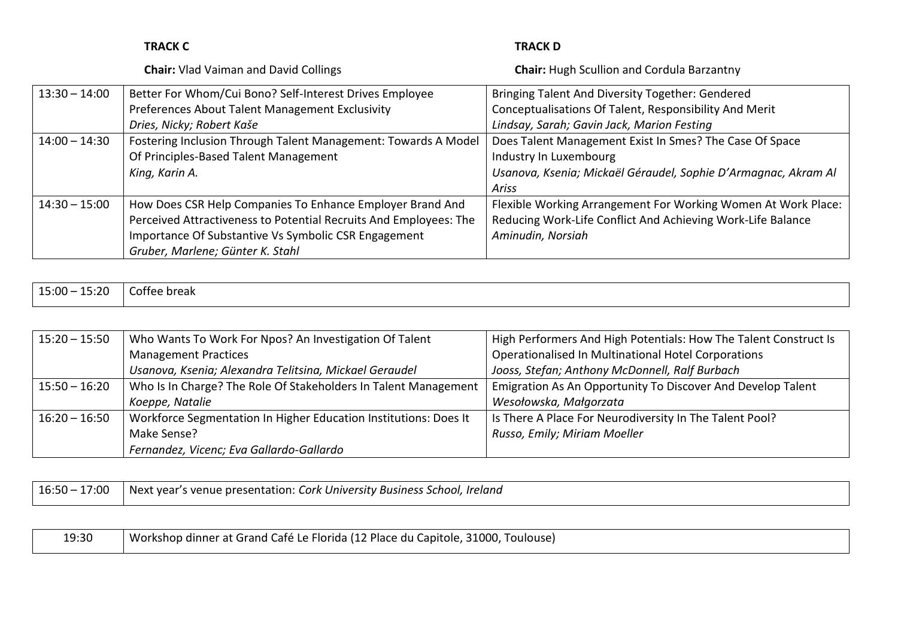|                 | <b>TRACK C</b>                                                    | <b>TRACK D</b>                                                 |
|-----------------|-------------------------------------------------------------------|----------------------------------------------------------------|
|                 | <b>Chair:</b> Vlad Vaiman and David Collings                      | <b>Chair:</b> Hugh Scullion and Cordula Barzantny              |
| $13:30 - 14:00$ | Better For Whom/Cui Bono? Self-Interest Drives Employee           | Bringing Talent And Diversity Together: Gendered               |
|                 | Preferences About Talent Management Exclusivity                   | Conceptualisations Of Talent, Responsibility And Merit         |
|                 | Dries, Nicky; Robert Kaše                                         | Lindsay, Sarah; Gavin Jack, Marion Festing                     |
| $14:00 - 14:30$ | Fostering Inclusion Through Talent Management: Towards A Model    | Does Talent Management Exist In Smes? The Case Of Space        |
|                 | Of Principles-Based Talent Management                             | Industry In Luxembourg                                         |
|                 | King, Karin A.                                                    | Usanova, Ksenia; Mickaël Géraudel, Sophie D'Armagnac, Akram Al |
|                 |                                                                   | Ariss                                                          |
| $14:30 - 15:00$ | How Does CSR Help Companies To Enhance Employer Brand And         | Flexible Working Arrangement For Working Women At Work Place:  |
|                 | Perceived Attractiveness to Potential Recruits And Employees: The | Reducing Work-Life Conflict And Achieving Work-Life Balance    |
|                 | Importance Of Substantive Vs Symbolic CSR Engagement              | Aminudin, Norsiah                                              |
|                 | Gruber, Marlene; Günter K. Stahl                                  |                                                                |

| $15:00 -$<br>02:3∟ | Coffee break<br>$  -$ |
|--------------------|-----------------------|
|                    |                       |

| $15:20 - 15:50$ | Who Wants To Work For Npos? An Investigation Of Talent           | High Performers And High Potentials: How The Talent Construct Is |
|-----------------|------------------------------------------------------------------|------------------------------------------------------------------|
|                 | <b>Management Practices</b>                                      | Operationalised In Multinational Hotel Corporations              |
|                 | Usanova, Ksenia; Alexandra Telitsina, Mickael Geraudel           | Jooss, Stefan; Anthony McDonnell, Ralf Burbach                   |
| $15:50 - 16:20$ | Who Is In Charge? The Role Of Stakeholders In Talent Management  | Emigration As An Opportunity To Discover And Develop Talent      |
|                 | Koeppe, Natalie                                                  | Wesołowska, Małgorzata                                           |
| $16:20 - 16:50$ | Workforce Segmentation In Higher Education Institutions: Does It | Is There A Place For Neurodiversity In The Talent Pool?          |
|                 | Make Sense?                                                      | Russo, Emily; Miriam Moeller                                     |
|                 | Fernandez, Vicenc; Eva Gallardo-Gallardo                         |                                                                  |

| 7:00<br>16:50 | Ireland<br>. Cork University Business School.<br>; venue presentation: l<br>vear<br><b>Next</b> |
|---------------|-------------------------------------------------------------------------------------------------|
|               |                                                                                                 |

| 19:30 | Workshop dinner at Grand Café Le Florida (12 Place du Capitole, 31000, Toulouse) |
|-------|----------------------------------------------------------------------------------|
|       |                                                                                  |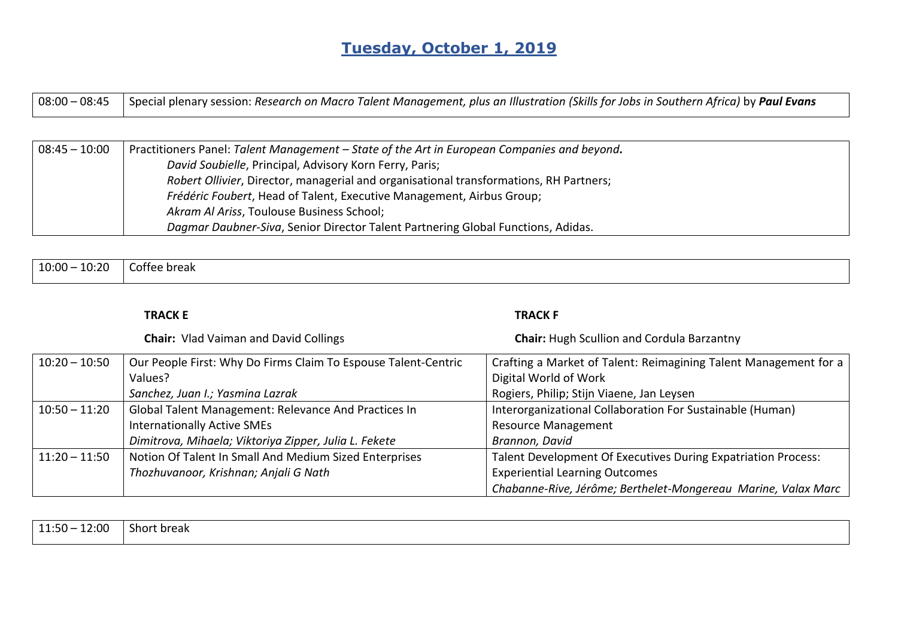## **Tuesday, October 1, 2019**

| 08:00 – 08:45 \dispecial plenary session: Research on Macro Talent Management, plus an Illustration (Skills for Jobs in Southern Africa) by Paul Evans |
|--------------------------------------------------------------------------------------------------------------------------------------------------------|
|                                                                                                                                                        |

| $08:45 - 10:00$ | Practitioners Panel: Talent Management – State of the Art in European Companies and beyond. |
|-----------------|---------------------------------------------------------------------------------------------|
|                 | David Soubielle, Principal, Advisory Korn Ferry, Paris;                                     |
|                 | Robert Ollivier, Director, managerial and organisational transformations, RH Partners;      |
|                 | Frédéric Foubert, Head of Talent, Executive Management, Airbus Group;                       |
|                 | Akram Al Ariss, Toulouse Business School;                                                   |
|                 | Dagmar Daubner-Siva, Senior Director Talent Partnering Global Functions, Adidas.            |

| 10:20<br>10:00 | .<br>Coffee break |
|----------------|-------------------|
|                |                   |

#### **TRACK E TRACK F**

|                 | <b>Chair:</b> Vlad Vaiman and David Collings                   | <b>Chair:</b> Hugh Scullion and Cordula Barzantny                |
|-----------------|----------------------------------------------------------------|------------------------------------------------------------------|
| $10:20 - 10:50$ | Our People First: Why Do Firms Claim To Espouse Talent-Centric | Crafting a Market of Talent: Reimagining Talent Management for a |
|                 | Values?                                                        | Digital World of Work                                            |
|                 | Sanchez, Juan I.; Yasmina Lazrak                               | Rogiers, Philip; Stijn Viaene, Jan Leysen                        |
| $10:50 - 11:20$ | Global Talent Management: Relevance And Practices In           | Interorganizational Collaboration For Sustainable (Human)        |
|                 | <b>Internationally Active SMEs</b>                             | <b>Resource Management</b>                                       |
|                 | Dimitrova, Mihaela; Viktoriya Zipper, Julia L. Fekete          | Brannon, David                                                   |
| $11:20 - 11:50$ | Notion Of Talent In Small And Medium Sized Enterprises         | Talent Development Of Executives During Expatriation Process:    |
|                 | Thozhuvanoor, Krishnan; Anjali G Nath                          | <b>Experiential Learning Outcomes</b>                            |
|                 |                                                                | Chabanne-Rive, Jérôme; Berthelet-Mongereau Marine, Valax Marc    |

| $11:50 -$<br>12:00 | $\sim$ 1<br>Short break |
|--------------------|-------------------------|
|                    |                         |